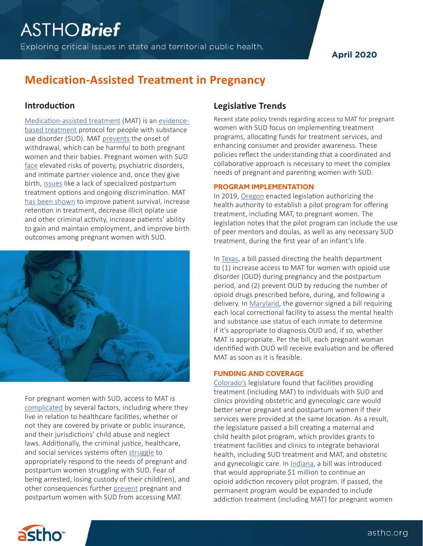Exploring critical issues in state and territorial public health.

## **April 2020**

## **Medication-Assisted Treatment in Pregnancy**

### **Introduction**

[Medication-assisted treatment](https://www.samhsa.gov/medication-assisted-treatment/treatment#medications-used-in-mat) (MAT) is an [evidence](https://www.ncbi.nlm.nih.gov/pmc/articles/PMC5627474/)[based treatment](https://www.ncbi.nlm.nih.gov/pmc/articles/PMC5627474/) protocol for people with substance use disorder (SUD). MAT [prevents](https://www.cdc.gov/pregnancy/opioids/basics.html) the onset of withdrawal, which can be harmful to both pregnant women and their babies. Pregnant women with SUD [face](https://journals.lww.com/greenjournal/Fulltext/2009/06000/Methamphetamine_Use_Among_Pregnant_Women.14.aspx) elevated risks of poverty, psychiatric disorders, and intimate partner violence and, once they give birth, [issues](https://insights.ovid.com/crossref?an=00006250-201808000-00026) like a lack of specialized postpartum treatment options and ongoing discrimination. MAT [has been shown](https://www.samhsa.gov/medication-assisted-treatment/treatment#medications-used-in-mat) to improve patient survival, increase retention in treatment, decrease illicit opiate use and other criminal activity, increase patients' ability to gain and maintain employment, and improve birth outcomes among pregnant women with SUD.



For pregnant women with SUD, access to MAT is [complicated](https://www.sciencedirect.com/science/article/abs/pii/S1049386716301694) by several factors, including where they live in relation to healthcare facilities, whether or not they are covered by private or public insurance, and their jurisdictions' child abuse and neglect laws. Additionally, the criminal justice, healthcare, and social services systems often [struggle](https://www.statnews.com/2019/06/04/pregnant-women-substance-use-disorders-treatment-not-prison/) to appropriately respond to the needs of pregnant and postpartum women struggling with SUD. Fear of being arrested, losing custody of their child(ren), and other consequences further [prevent](https://onlinelibrary.wiley.com/doi/full/10.1111/add.13776) pregnant and postpartum women with SUD from accessing MAT.

## **Legislative Trends**

Recent state policy trends regarding access to MAT for pregnant women with SUD focus on implementing treatment programs, allocating funds for treatment services, and enhancing consumer and provider awareness. These policies reflect the understanding that a coordinated and collaborative approach is necessary to meet the complex needs of pregnant and parenting women with SUD.

#### **PROGRAM IMPLEMENTATION**

In 2019, [Oregon](https://olis.leg.state.or.us/liz/2019r1/Measures/Overview/HB2257) enacted legislation authorizing the health authority to establish a pilot program for offering treatment, including MAT, to pregnant women. The legislation notes that the pilot program can include the use of peer mentors and doulas, as well as any necessary SUD treatment, during the first year of an infant's life.

In [Texas,](https://www.capitol.state.tx.us/BillLookup/History.aspx?LegSess=86R&Bill=SB436) a bill passed directing the health department to (1) increase access to MAT for women with opioid use disorder (OUD) during pregnancy and the postpartum period, and (2) prevent OUD by reducing the number of opioid drugs prescribed before, during, and following a delivery. In [Maryland](http://mgaleg.maryland.gov/mgawebsite/legislation/details/hb0116?ys=2019rs), the governor signed a bill requiring each local correctional facility to assess the mental health and substance use status of each inmate to determine if it's appropriate to diagnosis OUD and, if so, whether MAT is appropriate. Per the bill, each pregnant woman identified with OUD will receive evaluation and be offered MAT as soon as it is feasible.

#### **FUNDING AND COVERAGE**

[Colorado's](http://leg.colorado.gov/bills/sb19-228) legislature found that facilities providing treatment (including MAT) to individuals with SUD and clinics providing obstetric and gynecologic care would better serve pregnant and postpartum women if their services were provided at the same location. As a result, the legislature passed a bill creating a maternal and child health pilot program, which provides grants to treatment facilities and clinics to integrate behavioral health, including SUD treatment and MAT, and obstetric and gynecologic care. In [Indiana](http://iga.in.gov/documents/b8f1ad06), a bill was [introduced](http://iga.in.gov/documents/b8f1ad06) that would appropriate \$1 million to continue an opioid addiction recovery pilot program. If passed, the permanent program would be expanded to include addiction treatment (including MAT) for pregnant women